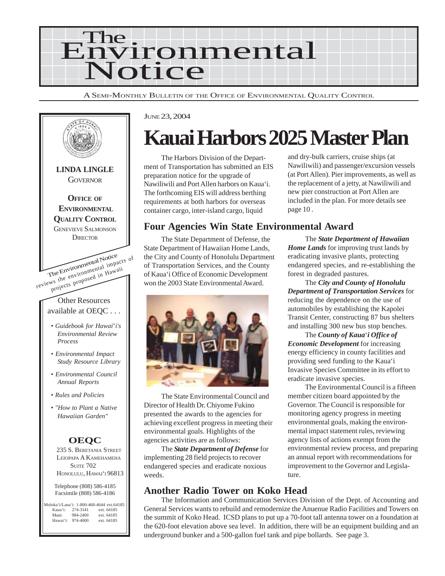

A SEMI-MONTHLY BULLETIN OF THE OFFICE OF ENVIRONMENTAL QUALITY CONTROL



#### JUNE 23, 2004

# **Kauai Harbors 2025 Master Plan**

The Harbors Division of the Department of Transportation has submitted an EIS preparation notice for the upgrade of Nawiliwili and Port Allen harbors on Kaua'i. The forthcoming EIS will address berthing requirements at both harbors for overseas container cargo, inter-island cargo, liquid

and dry-bulk carriers, cruise ships (at Nawiliwili) and passenger/excursion vessels (at Port Allen). Pier improvements, as well as the replacement of a jetty, at Nawiliwili and new pier construction at Port Allen are included in the plan. For more details see page 10 .

#### **Four Agencies Win State Environmental Award**

The State Department of Defense, the State Department of Hawaiian Home Lands, the City and County of Honolulu Department of Transportation Services, and the County of Kaua'i Office of Economic Development won the 2003 State Environmental Award.



The State Environmental Council and Director of Health Dr. Chiyome Fukino presented the awards to the agencies for achieving excellent progress in meeting their environmental goals. Highlights of the agencies activities are as follows:

The *State Department of Defense* for implementing 28 field projects to recover endangered species and eradicate noxious weeds.

#### **Another Radio Tower on Koko Head**

The Information and Communication Services Division of the Dept. of Accounting and General Services wants to rebuild and remodernize the Anuenue Radio Facilities and Towers on the summit of Koko Head. ICSD plans to put up a 70-foot tall antenna tower on a foundation at the 620-foot elevation above sea level. In addition, there will be an equipment building and an underground bunker and a 500-gallon fuel tank and pipe bollards. See page 3.

The *State Department of Hawaiian Home Lands* for improving trust lands by eradicating invasive plants, protecting endangered species, and re-establishing the forest in degraded pastures.

The *City and County of Honolulu Department of Transportation Services* for reducing the dependence on the use of automobiles by establishing the Kapolei Transit Center, constructing 87 bus shelters and installing 300 new bus stop benches.

The *County of Kaua*'*i Office of Economic Development* for increasing energy efficiency in county facilities and providing seed funding to the Kaua'i Invasive Species Committee in its effort to eradicate invasive species.

The Environmental Council is a fifteen member citizen board appointed by the Governor. The Council is responsible for monitoring agency progress in meeting environmental goals, making the environmental impact statement rules, reviewing agency lists of actions exempt from the environmental review process, and preparing an annual report with recommendations for improvement to the Governor and Legislature.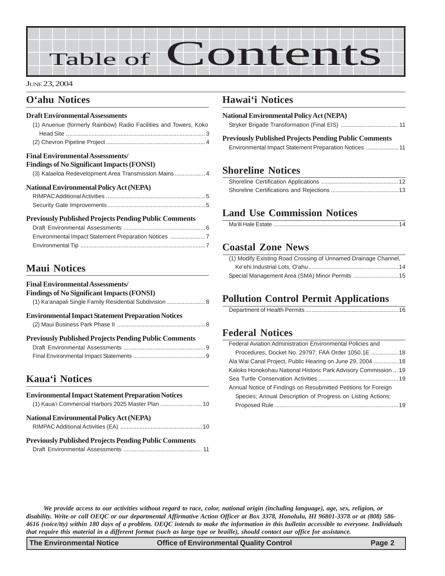# Table of Contents

#### JUNE 23, 2004

#### **O'ahu Notices**

#### **Draft Environmental Assessments**

| (1) Anuenue (formerly Rainbow) Radio Facilities and Towers, Koko |  |
|------------------------------------------------------------------|--|
|                                                                  |  |
|                                                                  |  |
| <b>Final Environmental Assessments/</b>                          |  |
| <b>Findings of No Significant Impacts (FONSI)</b>                |  |
| (3) Kalaeloa Redevelopment Area Transmission Mains 4             |  |
| <b>National Environmental Policy Act (NEPA)</b>                  |  |
|                                                                  |  |
|                                                                  |  |
| <b>Previously Published Projects Pending Public Comments</b>     |  |
|                                                                  |  |

#### **Maui Notices**

| <b>Final Environmental Assessments/</b>                      |  |
|--------------------------------------------------------------|--|
| <b>Findings of No Significant Impacts (FONSI)</b>            |  |
| (1) Ka'anapali Single Family Residential Subdivision  8      |  |
| <b>Environmental Impact Statement Preparation Notices</b>    |  |
|                                                              |  |
| <b>Previously Published Projects Pending Public Comments</b> |  |
|                                                              |  |
|                                                              |  |
|                                                              |  |

# **[Kaua'i Notices](#page-9-0)**

| <b>Environmental Impact Statement Preparation Notices</b>    |
|--------------------------------------------------------------|
| (1) Kaua'i Commercial Harbors 2025 Master Plan  10           |
| <b>National Environmental Policy Act (NEPA)</b>              |
|                                                              |
| <b>Previously Published Projects Pending Public Comments</b> |
|                                                              |

#### **Hawai'i Notices**

| <b>National Environmental Policy Act (NEPA)</b>       |  |
|-------------------------------------------------------|--|
|                                                       |  |
| Dreviewely Dublished Dreigete Dending Dublie Comments |  |

| <b>Previously Published Projects Pending Public Comments</b> |  |
|--------------------------------------------------------------|--|
|                                                              |  |

#### **[Shoreline Notices](#page-11-0)**

### **Land Use Commission Notices**

| Ma'ili Hale Estate …………………………………………………………………… 14 |  |
|--------------------------------------------------|--|
|--------------------------------------------------|--|

#### **[Coastal Zone News](#page-13-0)**

| (1) Modify Existing Road Crossing of Unnamed Drainage Channel, |  |
|----------------------------------------------------------------|--|
|                                                                |  |
|                                                                |  |

### **Pollution Control Permit Applications**

|--|

#### **[Federal Notices](#page-17-0)**

| Federal Aviation Administration Environmental Policies and      |  |
|-----------------------------------------------------------------|--|
| Procedures, Docket No. 29797; FAA Order 1050.1E  18             |  |
| Ala Wai Canal Project, Public Hearing on June 29, 2004  18      |  |
| Kaloko Honokohau National Historic Park Advisory Commission  19 |  |
|                                                                 |  |
| Annual Notice of Findings on Resubmitted Petitions for Foreign  |  |
| Species: Annual Description of Progress on Listing Actions;     |  |
|                                                                 |  |
|                                                                 |  |

*We provide access to our activities without regard to race, color, national origin (including language), age, sex, religion, or disability. Write or call OEQC or our departmental Affirmative Action Officer at Box 3378, Honolulu, HI 96801-3378 or at (808) 586- 4616 (voice/tty) within 180 days of a problem. OEQC intends to make the information in this bulletin accessible to everyone. Individuals that require this material in a different format (such as large type or braille), should contact our office for assistance.*

**The Environmental Notice Office of Environmental Quality Control Page 2**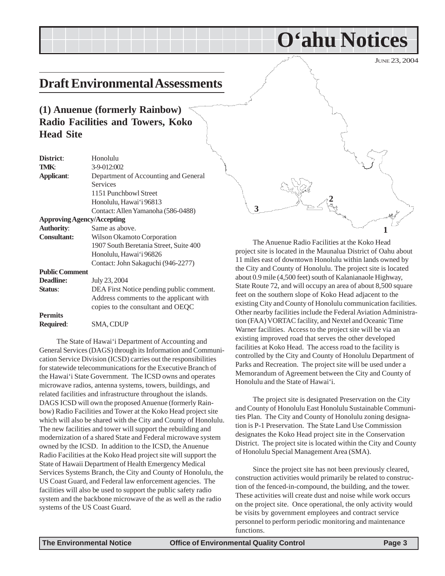JUNE 23, 2004

# <span id="page-2-0"></span>**Draft Environmental Assessments**

### **(1) Anuenue (formerly Rainbow) Radio Facilities and Towers, Koko Head Site**

| District:                         | Honolulu                                 |
|-----------------------------------|------------------------------------------|
| TMK:                              | 3-9-012:002                              |
| <b>Applicant:</b>                 | Department of Accounting and General     |
|                                   | <b>Services</b>                          |
|                                   | 1151 Punchbowl Street                    |
|                                   | Honolulu, Hawai'i 96813                  |
|                                   | Contact: Allen Yamanoha (586-0488)       |
| <b>Approving Agency/Accepting</b> |                                          |
| <b>Authority:</b>                 | Same as above.                           |
| <b>Consultant:</b>                | Wilson Okamoto Corporation               |
|                                   | 1907 South Beretania Street, Suite 400   |
|                                   | Honolulu, Hawai'i 96826                  |
|                                   | Contact: John Sakaguchi (946-2277)       |
| <b>Public Comment</b>             |                                          |
| Deadline:                         | July 23, 2004                            |
| Status:                           | DEA First Notice pending public comment. |
|                                   | Address comments to the applicant with   |
|                                   | copies to the consultant and OEQC        |
| <b>Permits</b>                    |                                          |
| Required:                         | SMA, CDUP                                |
|                                   |                                          |

The State of Hawai'i Department of Accounting and General Services (DAGS) through its Information and Communication Service Division (ICSD) carries out the responsibilities for statewide telecommunications for the Executive Branch of the Hawai'i State Government. The ICSD owns and operates microwave radios, antenna systems, towers, buildings, and related facilities and infrastructure throughout the islands. DAGS ICSD will own the proposed Anuenue (formerly Rainbow) Radio Facilities and Tower at the Koko Head project site which will also be shared with the City and County of Honolulu. The new facilities and tower will support the rebuilding and modernization of a shared State and Federal microwave system owned by the ICSD. In addition to the ICSD, the Anuenue Radio Facilities at the Koko Head project site will support the State of Hawaii Department of Health Emergency Medical Services Systems Branch, the City and County of Honolulu, the US Coast Guard, and Federal law enforcement agencies. The facilities will also be used to support the public safety radio system and the backbone microwave of the as well as the radio systems of the US Coast Guard.



**O'ahu Notices**

The Anuenue Radio Facilities at the Koko Head project site is located in the Maunalua District of Oahu about 11 miles east of downtown Honolulu within lands owned by the City and County of Honolulu. The project site is located about 0.9 mile (4,500 feet) south of Kalanianaole Highway, State Route 72, and will occupy an area of about 8,500 square feet on the southern slope of Koko Head adjacent to the existing City and County of Honolulu communication facilities. Other nearby facilities include the Federal Aviation Administration (FAA) VORTAC facility, and Nextel and Oceanic Time Warner facilities. Access to the project site will be via an existing improved road that serves the other developed facilities at Koko Head. The access road to the facility is controlled by the City and County of Honolulu Department of Parks and Recreation. The project site will be used under a Memorandum of Agreement between the City and County of Honolulu and the State of Hawai'i.

The project site is designated Preservation on the City and County of Honolulu East Honolulu Sustainable Communities Plan. The City and County of Honolulu zoning designation is P-1 Preservation. The State Land Use Commission designates the Koko Head project site in the Conservation District. The project site is located within the City and County of Honolulu Special Management Area (SMA).

Since the project site has not been previously cleared, construction activities would primarily be related to construction of the fenced-in-compound, the building, and the tower. These activities will create dust and noise while work occurs on the project site. Once operational, the only activity would be visits by government employees and contract service personnel to perform periodic monitoring and maintenance functions.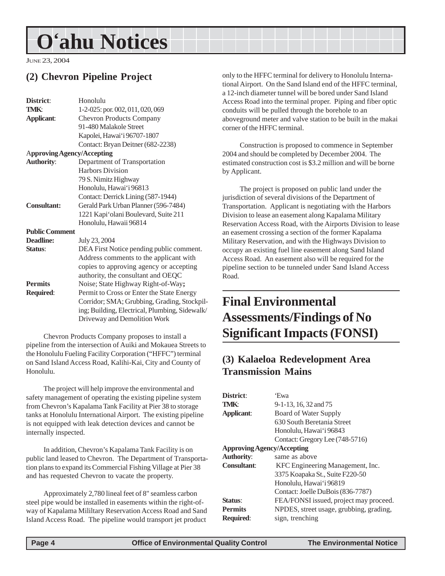<span id="page-3-0"></span>JUNE 23, 2004

# **(2) Chevron Pipeline Project**

| District:                         | Honolulu                                       |
|-----------------------------------|------------------------------------------------|
| TMK:                              | 1-2-025: por. 002, 011, 020, 069               |
| <b>Applicant:</b>                 | <b>Chevron Products Company</b>                |
|                                   | 91-480 Malakole Street                         |
|                                   | Kapolei, Hawai'i 96707-1807                    |
|                                   | Contact: Bryan Deitner (682-2238)              |
| <b>Approving Agency/Accepting</b> |                                                |
| <b>Authority:</b>                 | Department of Transportation                   |
|                                   | <b>Harbors Division</b>                        |
|                                   | 79 S. Nimitz Highway                           |
|                                   | Honolulu, Hawai'i 96813                        |
|                                   | Contact: Derrick Lining (587-1944)             |
| <b>Consultant:</b>                | Gerald Park Urban Planner (596-7484)           |
|                                   | 1221 Kapi'olani Boulevard, Suite 211           |
|                                   | Honolulu, Hawaii 96814                         |
| <b>Public Comment</b>             |                                                |
| <b>Deadline:</b>                  | July 23, 2004                                  |
| Status:                           | DEA First Notice pending public comment.       |
|                                   | Address comments to the applicant with         |
|                                   | copies to approving agency or accepting        |
|                                   | authority, the consultant and OEQC             |
| <b>Permits</b>                    | Noise; State Highway Right-of-Way;             |
| Required:                         | Permit to Cross or Enter the State Energy      |
|                                   | Corridor; SMA; Grubbing, Grading, Stockpil-    |
|                                   | ing; Building, Electrical, Plumbing, Sidewalk/ |
|                                   | Driveway and Demolition Work                   |

Chevron Products Company proposes to install a pipeline from the intersection of Auiki and Mokauea Streets to the Honolulu Fueling Facility Corporation ("HFFC") terminal on Sand Island Access Road, Kalihi-Kai, City and County of Honolulu.

The project will help improve the environmental and safety management of operating the existing pipeline system from Chevron's Kapalama Tank Facility at Pier 38 to storage tanks at Honolulu International Airport. The existing pipeline is not equipped with leak detection devices and cannot be internally inspected.

In addition, Chevron's Kapalama Tank Facility is on public land leased to Chevron. The Department of Transportation plans to expand its Commercial Fishing Village at Pier 38 and has requested Chevron to vacate the property.

Approximately 2,780 lineal feet of 8" seamless carbon steel pipe would be installed in easements within the right-ofway of Kapalama Mililtary Reservation Access Road and Sand Island Access Road. The pipeline would transport jet product only to the HFFC terminal for delivery to Honolulu International Airport. On the Sand Island end of the HFFC terminal, a 12-inch diameter tunnel will be bored under Sand Island Access Road into the terminal proper. Piping and fiber optic conduits will be pulled through the borehole to an aboveground meter and valve station to be built in the makai corner of the HFFC terminal.

Construction is proposed to commence in September 2004 and should be completed by December 2004. The estimated construction cost is \$3.2 million and will be borne by Applicant.

The project is proposed on public land under the jurisdiction of several divisions of the Department of Transportation. Applicant is negotiating with the Harbors Division to lease an easement along Kapalama Military Reservation Access Road, with the Airports Division to lease an easement crossing a section of the former Kapalama Military Reservation, and with the Highways Division to occupy an existing fuel line easement along Sand Island Access Road. An easement also will be required for the pipeline section to be tunneled under Sand Island Access Road.

# **Final Environmental Assessments/Findings of No Significant Impacts (FONSI)**

# **(3) Kalaeloa Redevelopment Area Transmission Mains**

| District:                         | 'Ewa                                    |
|-----------------------------------|-----------------------------------------|
| TMK:                              | $9-1-13$ , 16, 32 and 75                |
| <b>Applicant:</b>                 | Board of Water Supply                   |
|                                   | 630 South Beretania Street              |
|                                   | Honolulu, Hawai'i 96843                 |
|                                   | Contact: Gregory Lee (748-5716)         |
| <b>Approving Agency/Accepting</b> |                                         |
| <b>Authority:</b>                 | same as above                           |
| Consultant:                       | KFC Engineering Management, Inc.        |
|                                   | 3375 Koapaka St., Suite F220-50         |
|                                   | Honolulu, Hawai'i 96819                 |
|                                   | Contact: Joelle DuBois (836-7787)       |
| Status:                           | FEA/FONSI issued, project may proceed.  |
| <b>Permits</b>                    | NPDES, street usage, grubbing, grading, |
| <b>Required:</b>                  | sign, trenching                         |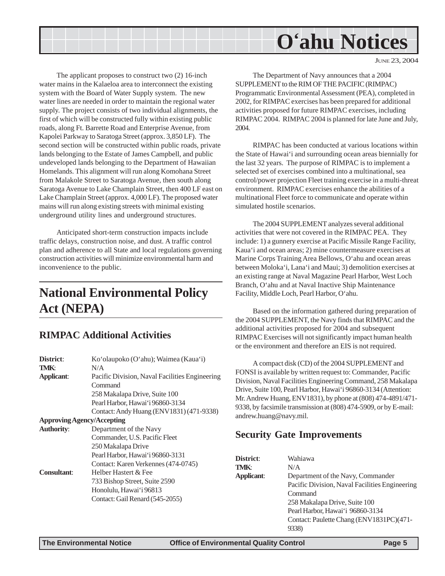JUNE 23, 2004

<span id="page-4-0"></span>The applicant proposes to construct two (2) 16-inch water mains in the Kalaeloa area to interconnect the existing system with the Board of Water Supply system. The new water lines are needed in order to maintain the regional water supply. The project consists of two individual alignments, the first of which will be constructed fully within existing public roads, along Ft. Barrette Road and Enterprise Avenue, from Kapolei Parkway to Saratoga Street (approx. 3,850 LF). The second section will be constructed within public roads, private lands belonging to the Estate of James Campbell, and public undeveloped lands belonging to the Department of Hawaiian Homelands. This alignment will run along Komohana Street from Malakole Street to Saratoga Avenue, then south along Saratoga Avenue to Lake Champlain Street, then 400 LF east on Lake Champlain Street (approx. 4,000 LF). The proposed water mains will run along existing streets with minimal existing underground utility lines and underground structures.

Anticipated short-term construction impacts include traffic delays, construction noise, and dust. A traffic control plan and adherence to all State and local regulations governing construction activities will minimize environmental harm and inconvenience to the public.

# **National Environmental Policy Act (NEPA)**

#### **RIMPAC Additional Activities**

| District:                         | Ko'olaupoko (O'ahu); Waimea (Kaua'i)           |  |
|-----------------------------------|------------------------------------------------|--|
| <b>TMK:</b>                       | N/A                                            |  |
| Applicant:                        | Pacific Division, Naval Facilities Engineering |  |
|                                   | Command                                        |  |
|                                   | 258 Makalapa Drive, Suite 100                  |  |
|                                   | Pearl Harbor, Hawai'i 96860-3134               |  |
|                                   | Contact: Andy Huang (ENV1831) (471-9338)       |  |
| <b>Approving Agency/Accepting</b> |                                                |  |
| <b>Authority:</b>                 | Department of the Navy                         |  |
|                                   | Commander, U.S. Pacific Fleet                  |  |
|                                   | 250 Makalapa Drive                             |  |
|                                   | Pearl Harbor, Hawai'i 96860-3131               |  |
|                                   | Contact: Karen Verkennes (474-0745)            |  |
| <b>Consultant:</b>                | Helber Hastert & Fee                           |  |
|                                   | 733 Bishop Street, Suite 2590                  |  |
|                                   | Honolulu, Hawai'i 96813                        |  |
|                                   | Contact: Gail Renard (545-2055)                |  |
|                                   |                                                |  |

The Department of Navy announces that a 2004 SUPPLEMENT to the RIM OF THE PACIFIC (RIMPAC) Programmatic Environmental Assessment (PEA), completed in 2002, for RIMPAC exercises has been prepared for additional activities proposed for future RIMPAC exercises, including RIMPAC 2004. RIMPAC 2004 is planned for late June and July, 2004.

RIMPAC has been conducted at various locations within the State of Hawai'i and surrounding ocean areas biennially for the last 32 years. The purpose of RIMPAC is to implement a selected set of exercises combined into a multinational, sea control/power projection Fleet training exercise in a multi-threat environment. RIMPAC exercises enhance the abilities of a multinational Fleet force to communicate and operate within simulated hostile scenarios.

The 2004 SUPPLEMENT analyzes several additional activities that were not covered in the RIMPAC PEA. They include: 1) a gunnery exercise at Pacific Missile Range Facility, Kaua'i and ocean areas; 2) mine countermeasure exercises at Marine Corps Training Area Bellows, O'ahu and ocean areas between Moloka'i, Lana'i and Maui; 3) demolition exercises at an existing range at Naval Magazine Pearl Harbor, West Loch Branch, O'ahu and at Naval Inactive Ship Maintenance Facility, Middle Loch, Pearl Harbor, O'ahu.

Based on the information gathered during preparation of the 2004 SUPPLEMENT, the Navy finds that RIMPAC and the additional activities proposed for 2004 and subsequent RIMPAC Exercises will not significantly impact human health or the environment and therefore an EIS is not required.

A compact disk (CD) of the 2004 SUPPLEMENT and FONSI is available by written request to: Commander, Pacific Division, Naval Facilities Engineering Command, 258 Makalapa Drive, Suite 100, Pearl Harbor, Hawai'i 96860-3134 (Attention: Mr. Andrew Huang, ENV1831), by phone at (808) 474-4891/471- 9338, by facsimile transmission at (808) 474-5909, or by E-mail: andrew.huang@navy.mil.

#### **Security Gate Improvements**

| District:  | Wahiawa                                        |
|------------|------------------------------------------------|
| TMK:       | N/A                                            |
| Applicant: | Department of the Navy, Commander              |
|            | Pacific Division, Naval Facilities Engineering |
|            | Command                                        |
|            | 258 Makalapa Drive, Suite 100                  |
|            | Pearl Harbor, Hawai'i 96860-3134               |
|            | Contact: Paulette Chang (ENV1831PC)(471-       |
|            |                                                |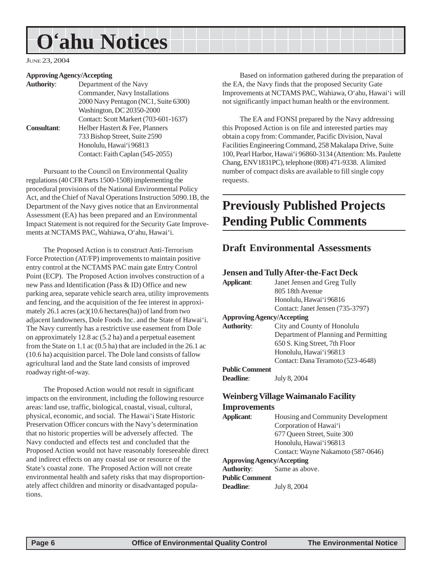<span id="page-5-0"></span>JUNE 23, 2004

#### **Approving Agency/Accepting**

| <b>Authority:</b>  | Department of the Navy                |
|--------------------|---------------------------------------|
|                    | Commander, Navy Installations         |
|                    | 2000 Navy Pentagon (NC1, Suite 6300)  |
|                    | Washington, DC 20350-2000             |
|                    | Contact: Scott Markert (703-601-1637) |
| <b>Consultant:</b> | Helber Hastert & Fee, Planners        |
|                    | 733 Bishop Street, Suite 2590         |
|                    | Honolulu, Hawai'i 96813               |
|                    | Contact: Faith Caplan (545-2055)      |

Pursuant to the Council on Environmental Quality regulations (40 CFR Parts 1500-1508) implementing the procedural provisions of the National Environmental Policy Act, and the Chief of Naval Operations Instruction 5090.1B, the Department of the Navy gives notice that an Environmental Assessment (EA) has been prepared and an Environmental Impact Statement is not required for the Security Gate Improvements at NCTAMS PAC, Wahiawa, O'ahu, Hawai'i.

The Proposed Action is to construct Anti-Terrorism Force Protection (AT/FP) improvements to maintain positive entry control at the NCTAMS PAC main gate Entry Control Point (ECP). The Proposed Action involves construction of a new Pass and Identification (Pass & ID) Office and new parking area, separate vehicle search area, utility improvements and fencing, and the acquisition of the fee interest in approximately 26.1 acres (ac)(10.6 hectares(ha)) of land from two adjacent landowners, Dole Foods Inc. and the State of Hawai'i. The Navy currently has a restrictive use easement from Dole on approximately 12.8 ac (5.2 ha) and a perpetual easement from the State on 1.1 ac (0.5 ha) that are included in the 26.1 ac (10.6 ha) acquisition parcel. The Dole land consists of fallow agricultural land and the State land consists of improved roadway right-of-way.

The Proposed Action would not result in significant impacts on the environment, including the following resource areas: land use, traffic, biological, coastal, visual, cultural, physical, economic, and social. The Hawai'i State Historic Preservation Officer concurs with the Navy's determination that no historic properties will be adversely affected. The Navy conducted and effects test and concluded that the Proposed Action would not have reasonably foreseeable direct and indirect effects on any coastal use or resource of the State's coastal zone. The Proposed Action will not create environmental health and safety risks that may disproportionately affect children and minority or disadvantaged populations.

Based on information gathered during the preparation of the EA, the Navy finds that the proposed Security Gate Improvements at NCTAMS PAC, Wahiawa, O'ahu, Hawai'i will not significantly impact human health or the environment.

The EA and FONSI prepared by the Navy addressing this Proposed Action is on file and interested parties may obtain a copy from: Commander, Pacific Division, Naval Facilities Engineering Command, 258 Makalapa Drive, Suite 100, Pearl Harbor, Hawai'i 96860-3134 (Attention: Ms. Paulette Chang, ENV1831PC), telephone (808) 471-9338. A limited number of compact disks are available to fill single copy requests.

# **Previously Published Projects Pending Public Comments**

#### **Draft Environmental Assessments**

#### **Jensen and Tully After-the-Fact Deck**

| Applicant:                        | Janet Jensen and Greg Tully           |
|-----------------------------------|---------------------------------------|
|                                   | 805 18th Avenue                       |
|                                   | Honolulu, Hawai'i 96816               |
|                                   | Contact: Janet Jensen (735-3797)      |
| <b>Approving Agency/Accepting</b> |                                       |
| <b>Authority:</b>                 | City and County of Honolulu           |
|                                   | Department of Planning and Permitting |
|                                   | 650 S. King Street, 7th Floor         |
|                                   | Honolulu, Hawai'i 96813               |
|                                   | Contact: Dana Teramoto (523-4648)     |
| <b>Public Comment</b>             |                                       |
| <b>Deadline:</b>                  | July 8, 2004                          |
|                                   |                                       |
|                                   | п.<br>Ð                               |

#### **Weinberg Village Waimanalo Facility Improvements**

| Applicant:                        | Housing and Community Development  |  |
|-----------------------------------|------------------------------------|--|
|                                   | Corporation of Hawai'i             |  |
|                                   | 677 Queen Street, Suite 300        |  |
|                                   | Honolulu, Hawai'i 96813            |  |
|                                   | Contact: Wayne Nakamoto (587-0646) |  |
| <b>Approving Agency/Accepting</b> |                                    |  |
| <b>Authority:</b>                 | Same as above.                     |  |
| <b>Public Comment</b>             |                                    |  |

**Deadline**: July 8, 2004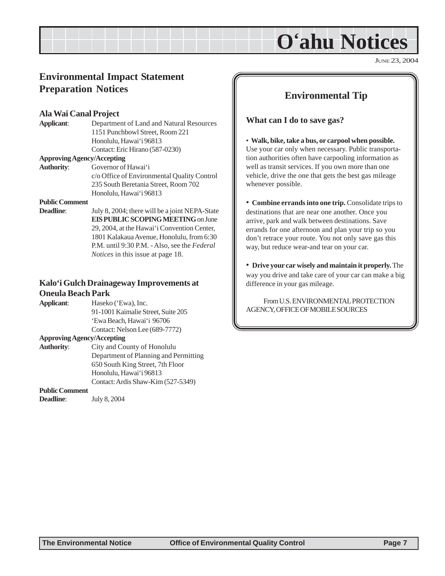JUNE 23, 2004

### <span id="page-6-0"></span>**Environmental Impact Statement Preparation Notices**

#### **Ala Wai Canal Project**

**Applicant**: Department of Land and Natural Resources 1151 Punchbowl Street, Room 221 Honolulu, Hawai'i 96813 Contact: Eric Hirano (587-0230)

#### **Approving Agency/Accepting**

**Authority**: Governor of Hawai'i c/o Office of Environmental Quality Control 235 South Beretania Street, Room 702 Honolulu, Hawai'i 96813

#### **Public Comment**

**Deadline:** July 8, 2004; there will be a joint NEPA-State **EIS PUBLIC SCOPING MEETING** on June 29, 2004, at the Hawai'i Convention Center, 1801 Kalakaua Avenue, Honolulu, from 6:30 P.M. until 9:30 P.M. - Also, see the *Federal Notices* in this issue at page 18.

#### **Kalo'i Gulch Drainageway Improvements at Oneula Beach Park**

| Applicant:                 | Haseko ('Ewa), Inc.                |
|----------------------------|------------------------------------|
|                            | 91-1001 Kaimalie Street, Suite 205 |
|                            | 'Ewa Beach, Hawai'i 96706          |
|                            | Contact: Nelson Lee (689-7772)     |
| Approving Agency/Accepting |                                    |

**Authority**: City and County of Honolulu Department of Planning and Permitting 650 South King Street, 7th Floor Honolulu, Hawai'i 96813 Contact: Ardis Shaw-Kim (527-5349)

#### **Public Comment**

**Deadline**: July 8, 2004

#### **Environmental Tip**

**What can I do to save gas?**

• **Walk, bike, take a bus, or carpool when possible.** Use your car only when necessary. Public transportation authorities often have carpooling information as well as transit services. If you own more than one vehicle, drive the one that gets the best gas mileage whenever possible.

• **Combine errands into one trip.** Consolidate trips to destinations that are near one another. Once you arrive, park and walk between destinations. Save errands for one afternoon and plan your trip so you don't retrace your route. You not only save gas this way, but reduce wear-and tear on your car.

• **Drive your car wisely and maintain it properly.** The way you drive and take care of your car can make a big difference in your gas mileage.

From U.S. ENVIRONMENTAL PROTECTION AGENCY, OFFICE OF MOBILE SOURCES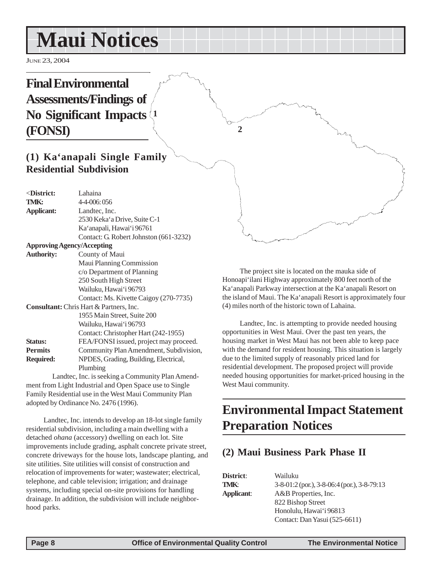# <span id="page-7-0"></span>**Maui Notices**

JUNE 23, 2004

## **Final Environmental Assessments/Findings of No Significant Impacts (FONSI) 1**

### **(1) Ka'anapali Single Family Residential Subdivision**

| $\triangle$ District:             | Lahaina                                        |
|-----------------------------------|------------------------------------------------|
| TMK:                              | 4-4-006:056                                    |
| <b>Applicant:</b>                 | Landtec, Inc.                                  |
|                                   | 2530 Keka'a Drive, Suite C-1                   |
|                                   | Ka'anapali, Hawai'i 96761                      |
|                                   | Contact: G. Robert Johnston (661-3232)         |
| <b>Approving Agency/Accepting</b> |                                                |
| <b>Authority:</b>                 | County of Maui                                 |
|                                   | Maui Planning Commission                       |
|                                   | c/o Department of Planning                     |
|                                   | 250 South High Street                          |
|                                   | Wailuku, Hawai'i 96793                         |
|                                   | Contact: Ms. Kivette Caigoy (270-7735)         |
|                                   | <b>Consultant:</b> Chris Hart & Partners, Inc. |
|                                   | 1955 Main Street, Suite 200                    |
|                                   | Wailuku, Hawaiʻi 96793                         |
|                                   | Contact: Christopher Hart (242-1955)           |
| <b>Status:</b>                    | FEA/FONSI issued, project may proceed.         |
| <b>Permits</b>                    | Community Plan Amendment, Subdivision,         |
| <b>Required:</b>                  | NPDES, Grading, Building, Electrical,          |
|                                   | Plumbing                                       |
|                                   | Landtec Inc is seeking a Community Plan Amend- |

Landtec, Inc. is seeking a Community Plan Amendment from Light Industrial and Open Space use to Single Family Residential use in the West Maui Community Plan adopted by Ordinance No. 2476 (1996).

Landtec, Inc. intends to develop an 18-lot single family residential subdivision, including a main dwelling with a detached *ohana* (accessory) dwelling on each lot. Site improvements include grading, asphalt concrete private street, concrete driveways for the house lots, landscape planting, and site utilities. Site utilities will consist of construction and relocation of improvements for water; wastewater; electrical, telephone, and cable television; irrigation; and drainage systems, including special on-site provisions for handling drainage. In addition, the subdivision will include neighborhood parks.

The project site is located on the mauka side of Honoapi'ilani Highway approximately 800 feet north of the Ka'anapali Parkway intersection at the Ka'anapali Resort on the island of Maui. The Ka'anapali Resort is approximately four (4) miles north of the historic town of Lahaina.

**2**

Landtec, Inc. is attempting to provide needed housing opportunities in West Maui. Over the past ten years, the housing market in West Maui has not been able to keep pace with the demand for resident housing. This situation is largely due to the limited supply of reasonably priced land for residential development. The proposed project will provide needed housing opportunities for market-priced housing in the West Maui community.

# **Environmental Impact Statement Preparation Notices**

### **(2) Maui Business Park Phase II**

| District:  | Wailuku                                           |
|------------|---------------------------------------------------|
| TMK:       | $3-8-01:2$ (por.), $3-8-06:4$ (por.), $3-8-79:13$ |
| Applicant: | A&B Properties, Inc.                              |
|            | 822 Bishop Street                                 |
|            | Honolulu, Hawai'i 96813                           |
|            | Contact: Dan Yasui (525-6611)                     |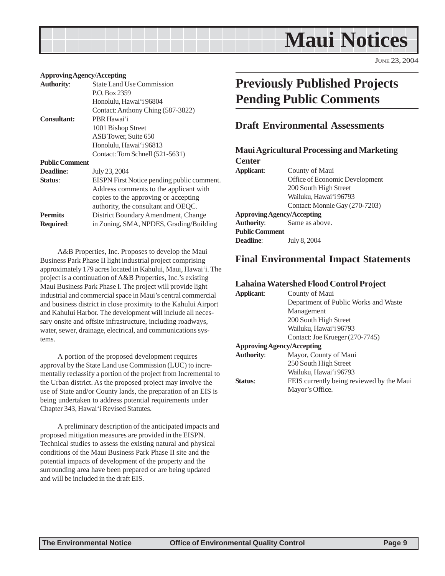

JUNE 23, 2004

#### <span id="page-8-0"></span>**Approving Agency/Accepting**

| <b>Authority:</b>     | <b>State Land Use Commission</b>           |
|-----------------------|--------------------------------------------|
|                       | P.O. Box 2359                              |
|                       | Honolulu, Hawai'i 96804                    |
|                       | Contact: Anthony Ching (587-3822)          |
| <b>Consultant:</b>    | PBR Hawai'i                                |
|                       | 1001 Bishop Street                         |
|                       | ASB Tower, Suite 650                       |
|                       | Honolulu, Hawai'i 96813                    |
|                       | Contact: Tom Schnell (521-5631)            |
| <b>Public Comment</b> |                                            |
| <b>Deadline:</b>      | July 23, 2004                              |
| Status:               | EISPN First Notice pending public comment. |
|                       | Address comments to the applicant with     |
|                       | copies to the approving or accepting       |
|                       | authority, the consultant and OEQC.        |
| <b>Permits</b>        | District Boundary Amendment, Change        |
| <b>Required:</b>      | in Zoning, SMA, NPDES, Grading/Building    |
|                       |                                            |

A&B Properties, Inc. Proposes to develop the Maui Business Park Phase II light industrial project comprising approximately 179 acres located in Kahului, Maui, Hawai'i. The project is a continuation of A&B Properties, Inc.'s existing Maui Business Park Phase I. The project will provide light industrial and commercial space in Maui's central commercial and business district in close proximity to the Kahului Airport and Kahului Harbor. The development will include all necessary onsite and offsite infrastructure, including roadways, water, sewer, drainage, electrical, and communications systems.

A portion of the proposed development requires approval by the State Land use Commission (LUC) to incrementally reclassify a portion of the project from Incremental to the Urban district. As the proposed project may involve the use of State and/or County lands, the preparation of an EIS is being undertaken to address potential requirements under Chapter 343, Hawai'i Revised Statutes.

A preliminary description of the anticipated impacts and proposed mitigation measures are provided in the EISPN. Technical studies to assess the existing natural and physical conditions of the Maui Business Park Phase II site and the potential impacts of development of the property and the surrounding area have been prepared or are being updated and will be included in the draft EIS.

# **Previously Published Projects Pending Public Comments**

#### **Draft Environmental Assessments**

| <b>Maui Agricultural Processing and Marketing</b> |
|---------------------------------------------------|
|                                                   |
| County of Maui                                    |
| Office of Economic Development                    |
| 200 South High Street                             |
| Wailuku, Hawai'i 96793                            |
| Contact: Monnie Gay (270-7203)                    |
| <b>Approving Agency/Accepting</b>                 |
| Same as above.                                    |
|                                                   |
| July 8, 2004                                      |
|                                                   |

#### **Final Environmental Impact Statements**

#### **Lahaina Watershed Flood Control Project**

| Applicant:                        | County of Maui                            |
|-----------------------------------|-------------------------------------------|
|                                   | Department of Public Works and Waste      |
|                                   | Management                                |
|                                   | 200 South High Street                     |
|                                   | Wailuku, Hawai'i 96793                    |
|                                   | Contact: Joe Krueger (270-7745)           |
| <b>Approving Agency/Accepting</b> |                                           |
| <b>Authority:</b>                 | Mayor, County of Maui                     |
|                                   | 250 South High Street                     |
|                                   | Wailuku, Hawai'i 96793                    |
| Status:                           | FEIS currently being reviewed by the Maui |
|                                   | Mayor's Office.                           |
|                                   |                                           |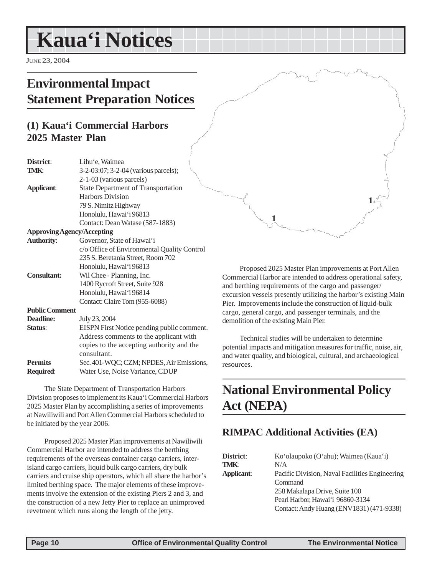# <span id="page-9-0"></span>**Kaua'i Notices**

JUNE 23, 2004

# **Environmental Impact Statement Preparation Notices**

## **(1) Kaua'i Commercial Harbors 2025 Master Plan**

| District:                         | Lihu'e, Waimea                              |
|-----------------------------------|---------------------------------------------|
| TMK:                              | 3-2-03:07; 3-2-04 (various parcels);        |
|                                   | 2-1-03 (various parcels)                    |
| <b>Applicant:</b>                 | <b>State Department of Transportation</b>   |
|                                   | <b>Harbors Division</b>                     |
|                                   | 79 S. Nimitz Highway                        |
|                                   | Honolulu, Hawai'i 96813                     |
|                                   | Contact: Dean Watase (587-1883)             |
| <b>Approving Agency/Accepting</b> |                                             |
| <b>Authority:</b>                 | Governor, State of Hawai'i                  |
|                                   | c/o Office of Environmental Quality Control |
|                                   | 235 S. Beretania Street, Room 702           |
|                                   | Honolulu, Hawai'i 96813                     |
| <b>Consultant:</b>                | Wil Chee - Planning, Inc.                   |
|                                   | 1400 Rycroft Street, Suite 928              |
|                                   | Honolulu, Hawai'i 96814                     |
|                                   | Contact: Claire Tom (955-6088)              |
| <b>Public Comment</b>             |                                             |
| <b>Deadline:</b>                  | July 23, 2004                               |
| Status:                           | EISPN First Notice pending public comment.  |
|                                   | Address comments to the applicant with      |
|                                   | copies to the accepting authority and the   |
|                                   | consultant.                                 |
| <b>Permits</b>                    | Sec. 401-WQC; CZM; NPDES, Air Emissions,    |
| Required:                         | Water Use, Noise Variance, CDUP             |

The State Department of Transportation Harbors Division proposes to implement its Kaua'i Commercial Harbors 2025 Master Plan by accomplishing a series of improvements at Nawiliwili and Port Allen Commercial Harbors scheduled to be initiated by the year 2006.

Proposed 2025 Master Plan improvements at Nawiliwili Commercial Harbor are intended to address the berthing requirements of the overseas container cargo carriers, interisland cargo carriers, liquid bulk cargo carriers, dry bulk carriers and cruise ship operators, which all share the harbor's limited berthing space. The major elements of these improvements involve the extension of the existing Piers 2 and 3, and the construction of a new Jetty Pier to replace an unimproved revetment which runs along the length of the jetty.

Proposed 2025 Master Plan improvements at Port Allen Commercial Harbor are intended to address operational safety, and berthing requirements of the cargo and passenger/ excursion vessels presently utilizing the harbor's existing Main Pier. Improvements include the construction of liquid-bulk cargo, general cargo, and passenger terminals, and the demolition of the existing Main Pier.

**1**

**1**

Technical studies will be undertaken to determine potential impacts and mitigation measures for traffic, noise, air, and water quality, and biological, cultural, and archaeological resources.

# **National Environmental Policy Act (NEPA)**

### **RIMPAC Additional Activities (EA)**

| District:  | Ko'olaupoko (O'ahu); Waimea (Kaua'i)           |
|------------|------------------------------------------------|
| TMK:       | N/A                                            |
| Applicant: | Pacific Division, Naval Facilities Engineering |
|            | Command                                        |
|            | 258 Makalapa Drive, Suite 100                  |
|            | Pearl Harbor, Hawai'i 96860-3134               |
|            | Contact: Andy Huang (ENV1831) (471-9338)       |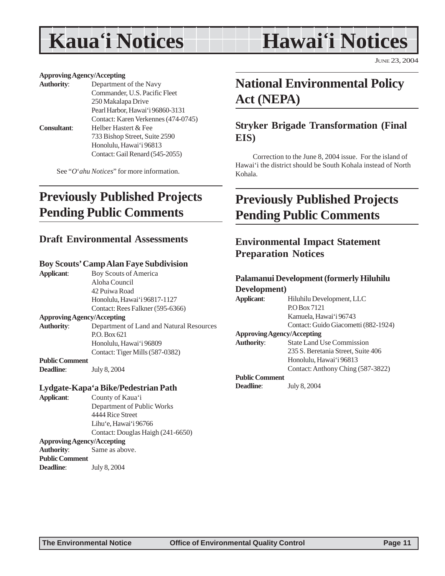# <span id="page-10-0"></span>**Kaua'i Notices**

# **Hawai'i Notices**

JUNE 23, 2004

#### **Approving Agency/Accepting**

| <b>Authority:</b>  | Department of the Navy              |  |  |  |
|--------------------|-------------------------------------|--|--|--|
|                    | Commander, U.S. Pacific Fleet       |  |  |  |
|                    | 250 Makalapa Drive                  |  |  |  |
|                    | Pearl Harbor, Hawai'i 96860-3131    |  |  |  |
|                    | Contact: Karen Verkennes (474-0745) |  |  |  |
| <b>Consultant:</b> | Helber Hastert & Fee                |  |  |  |
|                    | 733 Bishop Street, Suite 2590       |  |  |  |
|                    | Honolulu, Hawai'i 96813             |  |  |  |
|                    | Contact: Gail Renard (545-2055)     |  |  |  |
|                    |                                     |  |  |  |

See "*O*'*ahu Notices*" for more information.

# **Previously Published Projects Pending Public Comments**

#### **Draft Environmental Assessments**

#### **Boy Scouts' Camp Alan Faye Subdivision**

**Applicant**: Boy Scouts of America Aloha Council 42 Puiwa Road Honolulu, Hawai'i 96817-1127 Contact: Rees Falkner (595-6366) **Approving Agency/Accepting Authority**: Department of Land and Natural Resources P.O. Box 621 Honolulu, Hawai'i 96809 Contact: Tiger Mills (587-0382) **Public Comment Deadline**: July 8, 2004

#### **Lydgate-Kapa'a Bike/Pedestrian Path**

**Applicant**: County of Kaua'i Department of Public Works 4444 Rice Street Lihu'e, Hawai'i 96766 Contact: Douglas Haigh (241-6650) **Approving Agency/Accepting Authority**: Same as above. **Public Comment Deadline**: July 8, 2004

# **National Environmental Policy Act (NEPA)**

### **Stryker Brigade Transformation (Final EIS)**

Correction to the June 8, 2004 issue. For the island of Hawai'i the district should be South Kohala instead of North Kohala.

# **Previously Published Projects Pending Public Comments**

### **Environmental Impact Statement Preparation Notices**

#### **Palamanui Development (formerly Hiluhilu Development)**

| Development)                      |                                      |  |  |  |  |  |
|-----------------------------------|--------------------------------------|--|--|--|--|--|
| <b>Applicant:</b>                 | Hiluhilu Development, LLC            |  |  |  |  |  |
|                                   | P.O. Box 7121                        |  |  |  |  |  |
|                                   | Kamuela, Hawai'i 96743               |  |  |  |  |  |
|                                   | Contact: Guido Giacometti (882-1924) |  |  |  |  |  |
| <b>Approving Agency/Accepting</b> |                                      |  |  |  |  |  |
| <b>Authority:</b>                 | <b>State Land Use Commission</b>     |  |  |  |  |  |
|                                   | 235 S. Beretania Street, Suite 406   |  |  |  |  |  |
|                                   | Honolulu, Hawai'i 96813              |  |  |  |  |  |
|                                   | Contact: Anthony Ching (587-3822)    |  |  |  |  |  |
| <b>Public Comment</b>             |                                      |  |  |  |  |  |
| <b>Deadline:</b>                  | July 8, 2004                         |  |  |  |  |  |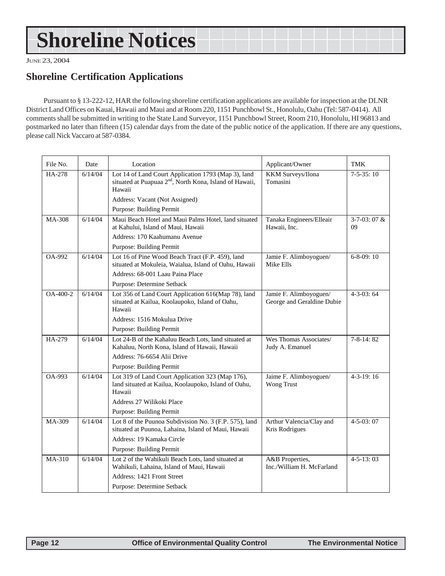# <span id="page-11-0"></span>**Shoreline Notices**

JUNE 23, 2004

### **Shoreline Certification Applications**

Pursuant to § 13-222-12, HAR the following shoreline certification applications are available for inspection at the DLNR District Land Offices on Kauai, Hawaii and Maui and at Room 220, 1151 Punchbowl St., Honolulu, Oahu (Tel: 587-0414). All comments shall be submitted in writing to the State Land Surveyor, 1151 Punchbowl Street, Room 210, Honolulu, HI 96813 and postmarked no later than fifteen (15) calendar days from the date of the public notice of the application. If there are any questions, please call Nick Vaccaro at 587-0384.

| File No. | Date    | Location                                                                                                                             | Applicant/Owner                                      | TMK                       |
|----------|---------|--------------------------------------------------------------------------------------------------------------------------------------|------------------------------------------------------|---------------------------|
| HA-278   | 6/14/04 | Lot 14 of Land Court Application 1793 (Map 3), land<br>situated at Puapuaa 2 <sup>nd</sup> , North Kona, Island of Hawaii,<br>Hawaii | KKM Surveys/Ilona<br>Tomasini                        | $7-5-35:10$               |
|          |         | Address: Vacant (Not Assigned)                                                                                                       |                                                      |                           |
|          |         | Purpose: Building Permit                                                                                                             |                                                      |                           |
| MA-308   | 6/14/04 | Maui Beach Hotel and Maui Palms Hotel, land situated<br>at Kahului, Island of Maui, Hawaii                                           | Tanaka Engineers/Elleair<br>Hawaii, Inc.             | $3 - 7 - 03$ : 07 &<br>09 |
|          |         | Address: 170 Kaahumanu Avenue                                                                                                        |                                                      |                           |
|          |         | Purpose: Building Permit                                                                                                             |                                                      |                           |
| OA-992   | 6/14/04 | Lot 16 of Pine Wood Beach Tract (F.P. 459), land<br>situated at Mokuleia, Waialua, Island of Oahu, Hawaii                            | Jamie F. Alimboyoguen/<br>Mike Ells                  | $6 - 8 - 09$ : 10         |
|          |         | Address: 68-001 Laau Paina Place                                                                                                     |                                                      |                           |
|          |         | Purpose: Determine Setback                                                                                                           |                                                      |                           |
| OA-400-2 | 6/14/04 | Lot 356 of Land Court Application 616(Map 78), land<br>situated at Kailua, Koolaupoko, Island of Oahu,<br>Hawaii                     | Jamie F. Alimboyoguen/<br>George and Geraldine Dubie | $4 - 3 - 03$ : 64         |
|          |         | Address: 1516 Mokulua Drive                                                                                                          |                                                      |                           |
|          |         | Purpose: Building Permit                                                                                                             |                                                      |                           |
| HA-279   | 6/14/04 | Lot 24-B of the Kahaluu Beach Lots, land situated at<br>Kahaluu, North Kona, Island of Hawaii, Hawaii                                | Wes Thomas Associates/<br>Judy A. Emanuel            | $7 - 8 - 14:82$           |
|          |         | Address: 76-6654 Alii Drive                                                                                                          |                                                      |                           |
|          |         | Purpose: Building Permit                                                                                                             |                                                      |                           |
| OA-993   | 6/14/04 | Lot 319 of Land Court Application 323 (Map 176),<br>land situated at Kailua, Koolaupoko, Island of Oahu,<br>Hawaii                   | Jaime F. Alimboyoguen/<br>Wong Trust                 | $4-3-19:16$               |
|          |         | Address 27 Wilikoki Place                                                                                                            |                                                      |                           |
|          |         | Purpose: Building Permit                                                                                                             |                                                      |                           |
| MA-309   | 6/14/04 | Lot 8 of the Puunoa Subdivision No. 3 (F.P. 575), land<br>situated at Puunoa, Lahaina, Island of Maui, Hawaii                        | Arthur Valencia/Clay and<br>Kris Rodrigues           | $4 - 5 - 03:07$           |
|          |         | Address: 19 Kamaka Circle                                                                                                            |                                                      |                           |
|          |         | Purpose: Building Permit                                                                                                             |                                                      |                           |
| MA-310   | 6/14/04 | Lot 2 of the Wahikuli Beach Lots, land situated at<br>Wahikuli, Lahaina, Island of Maui, Hawaii                                      | A&B Properties,<br>Inc./William H. McFarland         | $4 - 5 - 13:03$           |
|          |         | Address: 1421 Front Street                                                                                                           |                                                      |                           |
|          |         | Purpose: Determine Setback                                                                                                           |                                                      |                           |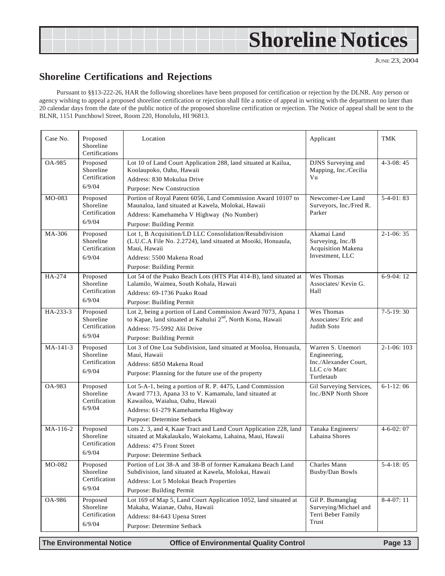# <span id="page-12-0"></span>**Shoreline Notices**

JUNE 23, 2004

### **Shoreline Certifications and Rejections**

Pursuant to §§13-222-26, HAR the following shorelines have been proposed for certification or rejection by the DLNR. Any person or agency wishing to appeal a proposed shoreline certification or rejection shall file a notice of appeal in writing with the department no later than 20 calendar days from the date of the public notice of the proposed shoreline certification or rejection. The Notice of appeal shall be sent to the BLNR, 1151 Punchbowl Street, Room 220, Honolulu, HI 96813.

| Case No.       | Proposed<br>Shoreline<br>Certifications          | Location                                                                                                                                                                                                                  | Applicant                                                                                | <b>TMK</b>       |
|----------------|--------------------------------------------------|---------------------------------------------------------------------------------------------------------------------------------------------------------------------------------------------------------------------------|------------------------------------------------------------------------------------------|------------------|
| OA-985         | Proposed<br>Shoreline<br>Certification<br>6/9/04 | Lot 10 of Land Court Application 288, land situated at Kailua,<br>Koolaupoko, Oahu, Hawaii<br>Address: 830 Mokulua Drive<br>Purpose: New Construction                                                                     | DJNS Surveying and<br>Mapping, Inc./Cecilia<br>Vu                                        | $4 - 3 - 08:45$  |
| MO-083         | Proposed<br>Shoreline<br>Certification<br>6/9/04 | Portion of Royal Patent 6056, Land Commission Award 10107 to<br>Maunaloa, land situated at Kawela, Molokai, Hawaii<br>Address: Kamehameha V Highway (No Number)<br>Purpose: Building Permit                               | Newcomer-Lee Land<br>Surveyors, Inc./Fred R.<br>Parker                                   | $5-4-01:83$      |
| MA-306         | Proposed<br>Shoreline<br>Certification<br>6/9/04 | Lot 1, B Acquisition/LD LLC Consolidation/Resubdivision<br>(L.U.C.A File No. 2.2724), land situated at Mooiki, Honuaula,<br>Maui, Hawaii<br>Address: 5500 Makena Road<br>Purpose: Building Permit                         | Akamai Land<br>Surveying, Inc./B<br>Acquisition Makena<br>Investment, LLC                | $2-1-06:35$      |
| HA-274         | Proposed<br>Shoreline<br>Certification<br>6/9/04 | Lot 54 of the Puako Beach Lots (HTS Plat 414-B), land situated at<br>Lalamilo, Waimea, South Kohala, Hawaii<br>Address: 69-1736 Puako Road<br>Purpose: Building Permit                                                    | Wes Thomas<br>Associates/ Kevin G.<br>Hall                                               | $6-9-04:12$      |
| $HA - 233 - 3$ | Proposed<br>Shoreline<br>Certification<br>6/9/04 | Lot 2, being a portion of Land Commission Award 7073, Apana 1<br>to Kapae, land situated at Kahului 2 <sup>nd</sup> , North Kona, Hawaii<br>Address: 75-5992 Alii Drive<br>Purpose: Building Permit                       | Wes Thomas<br>Associates/ Eric and<br>Judith Soto                                        | $7-5-19:30$      |
| $MA-141-3$     | Proposed<br>Shoreline<br>Certification<br>6/9/04 | Lot 3 of One Loa Subdivision, land situated at Mooloa, Honuaula,<br>Maui, Hawaii<br>Address: 6850 Makena Road<br>Purpose: Planning for the future use of the property                                                     | Warren S. Unemori<br>Engineering,<br>Inc./Alexander Court,<br>LLC c/o Marc<br>Turtletaub | $2 - 1 - 06:103$ |
| OA-983         | Proposed<br>Shoreline<br>Certification<br>6/9/04 | Lot 5-A-1, being a portion of R. P. 4475, Land Commission<br>Award 7713, Apana 33 to V. Kamamalu, land situated at<br>Kawailoa, Waialua, Oahu, Hawaii<br>Address: 61-279 Kamehameha Highway<br>Purpose: Determine Setback | Gil Surveying Services,<br>Inc./BNP North Shore                                          | $6-1-12:06$      |
| MA-116-2       | Proposed<br>Shoreline<br>Certification<br>6/9/04 | Lots 2. 3, and 4, Kaae Tract and Land Court Application 228, land<br>situated at Makalaukalo, Waiokama, Lahaina, Maui, Hawaii<br>Address: 475 Front Street<br>Purpose: Determine Setback                                  | Tanaka Engineers/<br>Lahaina Shores                                                      | $4 - 6 - 02:07$  |
| MO-082         | Proposed<br>Shoreline<br>Certification<br>6/9/04 | Portion of Lot 38-A and 38-B of former Kamakana Beach Land<br>Subdivision, land situated at Kawela, Molokai, Hawaii<br>Address: Lot 5 Molokai Beach Properties<br>Purpose: Building Permit                                | Charles Mann<br>Busby/Dan Bowls                                                          | $5-4-18:05$      |
| OA-986         | Proposed<br>Shoreline<br>Certification<br>6/9/04 | Lot 169 of Map 5, Land Court Application 1052, land situated at<br>Makaha, Waianae, Oahu, Hawaii<br>Address: 84-643 Upena Street<br>Purpose: Determine Setback                                                            | Gil P. Bumanglag<br>Surveying/Michael and<br>Terri Beber Family<br>Trust                 | $8-4-07:11$      |

**The Environmental Notice Control Control Control Page 13**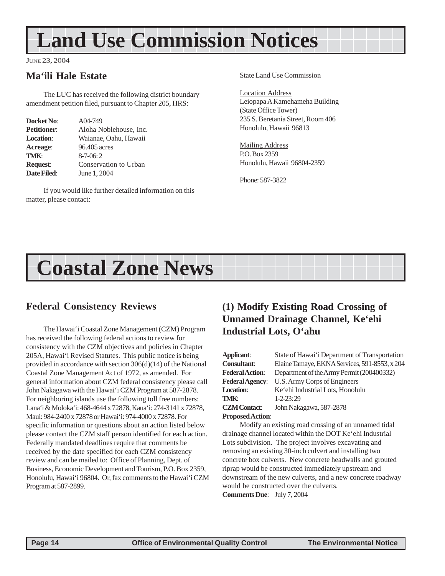# <span id="page-13-0"></span>**Land Use Commission Notices**

#### JUNE 23, 2004

#### **Ma'ili Hale Estate**

The LUC has received the following district boundary amendment petition filed, pursuant to Chapter 205, HRS:

| Docket No:         | A04-749                |
|--------------------|------------------------|
| <b>Petitioner:</b> | Aloha Noblehouse, Inc. |
| <b>Location:</b>   | Waianae, Oahu, Hawaii  |
| Acreage:           | 96.405 acres           |
| TMK:               | $8 - 7 - 06:2$         |
| <b>Request:</b>    | Conservation to Urban  |
| Date Filed:        | June 1, 2004           |

If you would like further detailed information on this matter, please contact:

State Land Use Commission

Location Address Leiopapa A Kamehameha Building (State Office Tower) 235 S. Beretania Street, Room 406 Honolulu, Hawaii 96813

Mailing Address P.O. Box 2359 Honolulu, Hawaii 96804-2359

Phone: 587-3822

# **Coastal Zone News**

#### **Federal Consistency Reviews**

The Hawai'i Coastal Zone Management (CZM) Program has received the following federal actions to review for consistency with the CZM objectives and policies in Chapter 205A, Hawai'i Revised Statutes. This public notice is being provided in accordance with section 306(d)(14) of the National Coastal Zone Management Act of 1972, as amended. For general information about CZM federal consistency please call John Nakagawa with the Hawai'i CZM Program at 587-2878. For neighboring islands use the following toll free numbers: Lana'i & Moloka'i: 468-4644 x 72878, Kaua'i: 274-3141 x 72878, Maui: 984-2400 x 72878 or Hawai'i: 974-4000 x 72878. For specific information or questions about an action listed below please contact the CZM staff person identified for each action. Federally mandated deadlines require that comments be received by the date specified for each CZM consistency review and can be mailed to: Office of Planning, Dept. of Business, Economic Development and Tourism, P.O. Box 2359, Honolulu, Hawai'i 96804. Or, fax comments to the Hawai'i CZM Program at 587-2899.

## **(1) Modify Existing Road Crossing of Unnamed Drainage Channel, Ke'ehi Industrial Lots, O'ahu**

| Applicant:              | State of Hawai'i Department of Transportation |
|-------------------------|-----------------------------------------------|
| <b>Consultant:</b>      | Elaine Tamaye, EKNA Services, 591-8553, x 204 |
| <b>Federal Action:</b>  | Department of the Army Permit (200400332)     |
| <b>Federal Agency:</b>  | U.S. Army Corps of Engineers                  |
| <b>Location:</b>        | Ke'ehi Industrial Lots, Honolulu              |
| TMK:                    | $1 - 2 - 23:29$                               |
| <b>CZM</b> Contact:     | John Nakagawa, 587-2878                       |
| <b>Proposed Action:</b> |                                               |

Modify an existing road crossing of an unnamed tidal drainage channel located within the DOT Ke'ehi Industrial Lots subdivision. The project involves excavating and removing an existing 30-inch culvert and installing two concrete box culverts. New concrete headwalls and grouted riprap would be constructed immediately upstream and downstream of the new culverts, and a new concrete roadway would be constructed over the culverts. **Comments Due**: July 7, 2004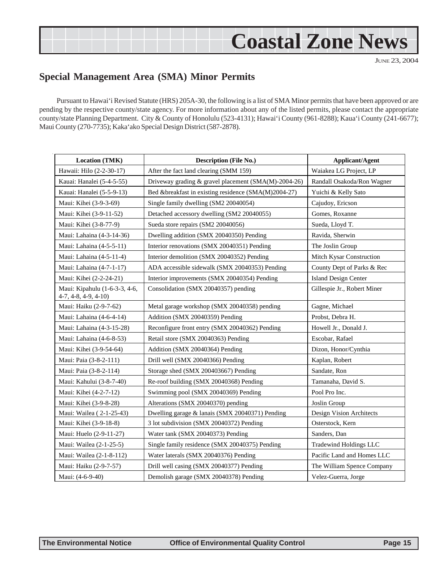# **Coastal Zone News**

JUNE 23, 2004

### <span id="page-14-0"></span>**Special Management Area (SMA) Minor Permits**

Pursuant to Hawai'i Revised Statute (HRS) 205A-30, the following is a list of SMA Minor permits that have been approved or are pending by the respective county/state agency. For more information about any of the listed permits, please contact the appropriate county/state Planning Department. City & County of Honolulu (523-4131); Hawai'i County (961-8288); Kaua'i County (241-6677); Maui County (270-7735); Kaka'ako Special Design District (587-2878).

| <b>Location (TMK)</b>                                  | <b>Description (File No.)</b>                        | <b>Applicant/Agent</b>      |
|--------------------------------------------------------|------------------------------------------------------|-----------------------------|
| Hawaii: Hilo (2-2-30-17)                               | After the fact land clearing (SMM 159)               | Waiakea LG Project, LP      |
| Kauai: Hanalei (5-4-5-55)                              | Driveway grading & gravel placement (SMA(M)-2004-26) | Randall Osakoda/Ron Wagner  |
| Kauai: Hanalei (5-5-9-13)                              | Bed &breakfast in existing residence (SMA(M)2004-27) | Yuichi & Kelly Sato         |
| Maui: Kihei (3-9-3-69)                                 | Single family dwelling (SM2 20040054)                | Cajudoy, Ericson            |
| Maui: Kihei (3-9-11-52)                                | Detached accessory dwelling (SM2 20040055)           | Gomes, Roxanne              |
| Maui: Kihei (3-8-77-9)                                 | Sueda store repairs (SM2 20040056)                   | Sueda, Lloyd T.             |
| Maui: Lahaina (4-3-14-36)                              | Dwelling addition (SMX 20040350) Pending             | Ravida, Sherwin             |
| Maui: Lahaina (4-5-5-11)                               | Interior renovations (SMX 20040351) Pending          | The Joslin Group            |
| Maui: Lahaina (4-5-11-4)                               | Interior demolition (SMX 20040352) Pending           | Mitch Kysar Construction    |
| Maui: Lahaina (4-7-1-17)                               | ADA accessible sidewalk (SMX 20040353) Pending       | County Dept of Parks & Rec  |
| Maui: Kihei (2-2-24-21)                                | Interior improvements (SMX 20040354) Pending         | <b>Island Design Center</b> |
| Maui: Kipahulu (1-6-3-3, 4-6,<br>$4-7, 4-8, 4-9, 4-10$ | Consolidation (SMX 20040357) pending                 | Gillespie Jr., Robert Miner |
| Maui: Haiku (2-9-7-62)                                 | Metal garage workshop (SMX 20040358) pending         | Gagne, Michael              |
| Maui: Lahaina (4-6-4-14)                               | Addition (SMX 20040359) Pending                      | Probst, Debra H.            |
| Maui: Lahaina (4-3-15-28)                              | Reconfigure front entry (SMX 20040362) Pending       | Howell Jr., Donald J.       |
| Maui: Lahaina (4-6-8-53)                               | Retail store (SMX 20040363) Pending                  | Escobar, Rafael             |
| Maui: Kihei (3-9-54-64)                                | Addition (SMX 20040364) Pending                      | Dizon, Honor/Cynthia        |
| Maui: Paia (3-8-2-111)                                 | Drill well (SMX 20040366) Pending                    | Kaplan, Robert              |
| Maui: Paia (3-8-2-114)                                 | Storage shed (SMX 200403667) Pending                 | Sandate, Ron                |
| Maui: Kahului (3-8-7-40)                               | Re-roof building (SMX 20040368) Pending              | Tamanaha, David S.          |
| Maui: Kihei (4-2-7-12)                                 | Swimming pool (SMX 20040369) Pending                 | Pool Pro Inc.               |
| Maui: Kihei (3-9-8-28)                                 | Alterations (SMX 20040370) pending                   | Joslin Group                |
| Maui: Wailea (2-1-25-43)                               | Dwelling garage & lanais (SMX 20040371) Pending      | Design Vision Architects    |
| Maui: Kihei (3-9-18-8)                                 | 3 lot subdivision (SMX 20040372) Pending             | Osterstock, Kern            |
| Maui: Huelo (2-9-11-27)                                | Water tank (SMX 20040373) Pending                    | Sanders, Dan                |
| Maui: Wailea (2-1-25-5)                                | Single family residence (SMX 20040375) Pending       | Tradewind Holdings LLC      |
| Maui: Wailea (2-1-8-112)                               | Water laterals (SMX 20040376) Pending                | Pacific Land and Homes LLC  |
| Maui: Haiku (2-9-7-57)                                 | Drill well casing (SMX 20040377) Pending             | The William Spence Company  |
| Maui: (4-6-9-40)                                       | Demolish garage (SMX 20040378) Pending               | Velez-Guerra, Jorge         |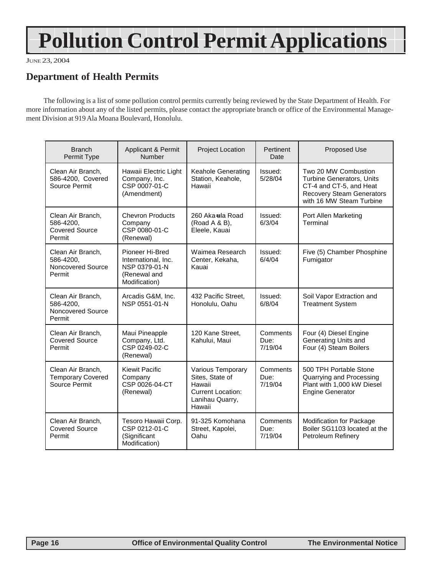# **Pollution Control Permit Applications**

JUNE 23, 2004

### **Department of Health Permits**

The following is a list of some pollution control permits currently being reviewed by the State Department of Health. For more information about any of the listed permits, please contact the appropriate branch or office of the Environmental Management Division at 919 Ala Moana Boulevard, Honolulu.

| <b>Branch</b><br>Permit Type                                      | Applicant & Permit<br>Number                                                             | Project Location                                                                                        | Pertinent<br>Date           | <b>Proposed Use</b>                                                                                                                                 |
|-------------------------------------------------------------------|------------------------------------------------------------------------------------------|---------------------------------------------------------------------------------------------------------|-----------------------------|-----------------------------------------------------------------------------------------------------------------------------------------------------|
| Clean Air Branch,<br>586-4200, Covered<br>Source Permit           | Hawaii Electric Light<br>Company, Inc.<br>CSP 0007-01-C<br>(Amendment)                   | Keahole Generating<br>Station, Keahole,<br>Hawaii                                                       | Issued:<br>5/28/04          | Two 20 MW Combustion<br><b>Turbine Generators, Units</b><br>CT-4 and CT-5, and Heat<br><b>Recovery Steam Generators</b><br>with 16 MW Steam Turbine |
| Clean Air Branch,<br>586-4200,<br><b>Covered Source</b><br>Permit | <b>Chevron Products</b><br>Company<br>CSP 0080-01-C<br>(Renewal)                         | 260 Aka-ula Road<br>(Road A & B),<br>Eleele, Kauai                                                      | Issued:<br>6/3/04           | Port Allen Marketing<br>Terminal                                                                                                                    |
| Clean Air Branch,<br>586-4200.<br>Noncovered Source<br>Permit     | Pioneer Hi-Bred<br>International, Inc.<br>NSP 0379-01-N<br>(Renewal and<br>Modification) | Waimea Research<br>Center, Kekaha,<br>Kauai                                                             | Issued:<br>6/4/04           | Five (5) Chamber Phosphine<br>Fumigator                                                                                                             |
| Clean Air Branch,<br>586-4200,<br>Noncovered Source<br>Permit     | Arcadis G&M, Inc.<br>NSP 0551-01-N                                                       | 432 Pacific Street,<br>Honolulu, Oahu                                                                   | Issued:<br>6/8/04           | Soil Vapor Extraction and<br><b>Treatment System</b>                                                                                                |
| Clean Air Branch,<br><b>Covered Source</b><br>Permit              | Maui Pineapple<br>Company, Ltd.<br>CSP 0249-02-C<br>(Renewal)                            | 120 Kane Street,<br>Kahului, Maui                                                                       | Comments<br>Due:<br>7/19/04 | Four (4) Diesel Engine<br>Generating Units and<br>Four (4) Steam Boilers                                                                            |
| Clean Air Branch,<br><b>Temporary Covered</b><br>Source Permit    | <b>Kiewit Pacific</b><br>Company<br>CSP 0026-04-CT<br>(Renewal)                          | Various Temporary<br>Sites, State of<br>Hawaii<br><b>Current Location:</b><br>Lanihau Quarry,<br>Hawaii | Comments<br>Due:<br>7/19/04 | 500 TPH Portable Stone<br>Quarrying and Processing<br>Plant with 1,000 kW Diesel<br><b>Engine Generator</b>                                         |
| Clean Air Branch,<br><b>Covered Source</b><br>Permit              | Tesoro Hawaii Corp.<br>CSP 0212-01-C<br>(Significant<br>Modification)                    | 91-325 Komohana<br>Street, Kapolei,<br>Oahu                                                             | Comments<br>Due:<br>7/19/04 | Modification for Package<br>Boiler SG1103 located at the<br>Petroleum Refinery                                                                      |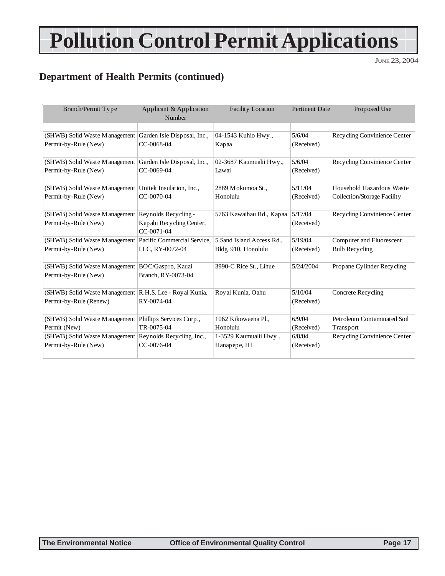# **Pollution Control Permit Applications**

JUNE 23, 2004

# **Department of Health Permits (continued)**

| Branch/Permit Type                                        | Applicant & Application     | <b>Facility Location</b>  | <b>Pertinent Date</b> | Proposed Use                 |
|-----------------------------------------------------------|-----------------------------|---------------------------|-----------------------|------------------------------|
|                                                           | Number                      |                           |                       |                              |
|                                                           |                             |                           | 5/6/04                | Recycling Convinience Center |
| (SHWB) Solid Waste Management Garden Isle Disposal, Inc., | CC-0068-04                  | 04-1543 Kuhio Hwy.,       |                       |                              |
| Permit-by-Rule (New)                                      |                             | Kapaa                     | (Received)            |                              |
| (SHWB) Solid Waste Management Garden Isle Disposal, Inc., |                             | 02-3687 Kaumualii Hwy.,   | 5/6/04                | Recycling Convinience Center |
| Permit-by-Rule (New)                                      | CC-0069-04                  | Lawai                     | (Received)            |                              |
| (SHWB) Solid Waste Management Unitek Insulation, Inc.,    |                             | 2889 Mokumoa St.,         | 5/11/04               | Household Hazardous Waste    |
| Permit-by-Rule (New)                                      | CC-0070-04                  | Honolulu                  | (Received)            | Collection/Storage Facility  |
| (SHWB) Solid Waste Management                             | Reynolds Recycling -        | 5763 Kawaihau Rd., Kapaa  | 5/17/04               | Recycling Convinience Center |
| Permit-by-Rule (New)                                      | Kapahi Recycling Center,    |                           | (Received)            |                              |
|                                                           | CC-0071-04                  |                           |                       |                              |
| (SHWB) Solid Waste Management                             | Pacific Commercial Service. | 5 Sand Island Access Rd., | 5/19/04               | Computer and Fluorescent     |
| Permit-by-Rule (New)                                      | LLC, RY-0072-04             | Bldg. 910, Honolulu       | (Received)            | <b>Bulb Recycling</b>        |
| (SHWB) Solid Waste Management BOC/Gaspro, Kauai           |                             | 3990-C Rice St., Lihue    | 5/24/2004             | Propane Cylinder Recycling   |
| Permit-by-Rule (New)                                      | Branch, RY-0073-04          |                           |                       |                              |
|                                                           |                             |                           |                       |                              |
| (SHWB) Solid Waste Management R.H.S. Lee - Royal Kunia,   |                             | Royal Kunia, Oahu         | 5/10/04               | Concrete Recycling           |
| Permit-by-Rule (Renew)                                    | RY-0074-04                  |                           | (Received)            |                              |
|                                                           |                             |                           |                       |                              |
| (SHWB) Solid Waste Management Phillips Services Corp.,    |                             | 1062 Kikowaena Pl.,       | 6/9/04                | Petroleum Contaminated Soil  |
| Permit (New)                                              | TR-0075-04                  | Honolulu                  | (Received)            | Transport                    |
| (SHWB) Solid Waste Management Reynolds Recycling, Inc.,   |                             | 1-3529 Kaumualii Hwy.,    | 6/8/04                | Recycling Convinience Center |
| Permit-by-Rule (New)                                      | CC-0076-04                  | Hanapepe, HI              | (Received)            |                              |
|                                                           |                             |                           |                       |                              |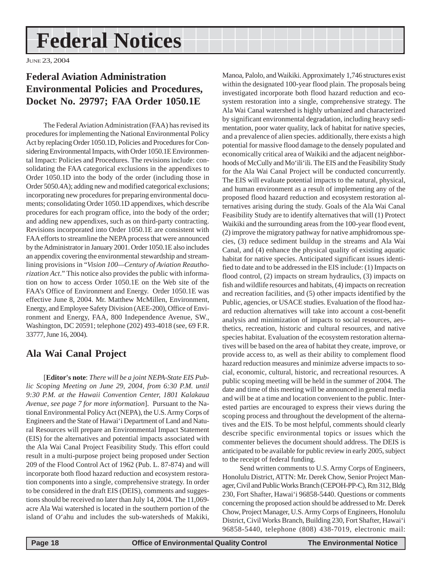# <span id="page-17-0"></span>**Federal Notices**

JUNE 23, 2004

# **Federal Aviation Administration Environmental Policies and Procedures, Docket No. 29797; FAA Order 1050.1E**

The Federal Aviation Administration (FAA) has revised its procedures for implementing the National Environmental Policy Act by replacing Order 1050.1D, Policies and Procedures for Considering Environmental Impacts, with Order 1050.1E Environmental Impact: Policies and Procedures. The revisions include: consolidating the FAA categorical exclusions in the appendixes to Order 1050.1D into the body of the order (including those in Order 5050.4A); adding new and modified categorical exclusions; incorporating new procedures for preparing environmental documents; consolidating Order 1050.1D appendixes, which describe procedures for each program office, into the body of the order; and adding new appendixes, such as on third-party contracting. Revisions incorporated into Order 1050.1E are consistent with FAA efforts to streamline the NEPA process that were announced by the Administrator in January 2001. Order 1050.1E also includes an appendix covering the environmental stewardship and streamlining provisions in "*Vision 100—Century of Aviation Reauthorization Act*." This notice also provides the public with information on how to access Order 1050.1E on the Web site of the FAA's Office of Environment and Energy. Order 1050.1E was effective June 8, 2004. Mr. Matthew McMillen, Environment, Energy, and Employee Safety Division (AEE-200), Office of Environment and Energy, FAA, 800 Independence Avenue, SW., Washington, DC 20591; telephone (202) 493-4018 (see, 69 F.R. 33777, June 16, 2004).

### **Ala Wai Canal Project**

[**Editor's note**: *There will be a joint NEPA-State EIS Public Scoping Meeting on June 29, 2004, from 6:30 P.M. until 9:30 P.M. at the Hawaii Convention Center, 1801 Kalakaua Avenue, see page 7 for more information*]. Pursuant to the National Environmental Policy Act (NEPA), the U.S. Army Corps of Engineers and the State of Hawai'i Department of Land and Natural Resources will prepare an Environmental Impact Statement (EIS) for the alternatives and potential impacts associated with the Ala Wai Canal Project Feasibility Study. This effort could result in a multi-purpose project being proposed under Section 209 of the Flood Control Act of 1962 (Pub. L. 87-874) and will incorporate both flood hazard reduction and ecosystem restoration components into a single, comprehensive strategy. In order to be considered in the draft EIS (DEIS), comments and suggestions should be received no later than July 14, 2004. The 11,069 acre Ala Wai watershed is located in the southern portion of the island of O'ahu and includes the sub-watersheds of Makiki,

Manoa, Palolo, and Waikiki. Approximately 1,746 structures exist within the designated 100-year flood plain. The proposals being investigated incorporate both flood hazard reduction and ecosystem restoration into a single, comprehensive strategy. The Ala Wai Canal watershed is highly urbanized and characterized by significant environmental degradation, including heavy sedimentation, poor water quality, lack of habitat for native species, and a prevalence of alien species. additionally, there exists a high potential for massive flood damage to the densely populated and economically critical area of Waikiki and the adjacent neighborhoods of McCully and Mo'ili'ili. The EIS and the Feasibility Study for the Ala Wai Canal Project will be conducted concurrently. The EIS will evaluate potential impacts to the natural, physical, and human environment as a result of implementing any of the proposed flood hazard reduction and ecosystem restoration alternatives arising during the study. Goals of the Ala Wai Canal Feasibility Study are to identify alternatives that will (1) Protect Waikiki and the surrounding areas from the 100-year flood event, (2) improve the migratory pathway for native amphidromous species, (3) reduce sediment buildup in the streams and Ala Wai Canal, and (4) enhance the physical quality of existing aquatic habitat for native species. Anticipated significant issues identified to date and to be addressed in the EIS include: (1) Impacts on flood control, (2) impacts on stream hydraulics, (3) impacts on fish and wildlife resources and habitats, (4) impacts on recreation and recreation facilities, and (5) other impacts identified by the Public, agencies, or USACE studies. Evaluation of the flood hazard reduction alternatives will take into account a cost-benefit analysis and minimization of impacts to social resources, aesthetics, recreation, historic and cultural resources, and native species habitat. Evaluation of the ecosystem restoration alternatives will be based on the area of habitat they create, improve, or provide access to, as well as their ability to complement flood hazard reduction measures and minimize adverse impacts to social, economic, cultural, historic, and recreational resources. A public scoping meeting will be held in the summer of 2004. The date and time of this meeting will be announced in general media and will be at a time and location convenient to the public. Interested parties are encouraged to express their views during the scoping process and throughout the development of the alternatives and the EIS. To be most helpful, comments should clearly describe specific environmental topics or issues which the commenter believes the document should address. The DEIS is anticipated to be available for public review in early 2005, subject to the receipt of federal funding.

Send written comments to U.S. Army Corps of Engineers, Honolulu District, ATTN: Mr. Derek Chow, Senior Project Manager, Civil and Public Works Branch (CEPOH-PP-C), Rm 312, Bldg 230, Fort Shafter, Hawai'i 96858-5440. Questions or comments concerning the proposed action should be addressed to Mr. Derek Chow, Project Manager, U.S. Army Corps of Engineers, Honolulu District, Civil Works Branch, Building 230, Fort Shafter, Hawai'i 96858-5440, telephone (808) 438-7019, electronic mail: